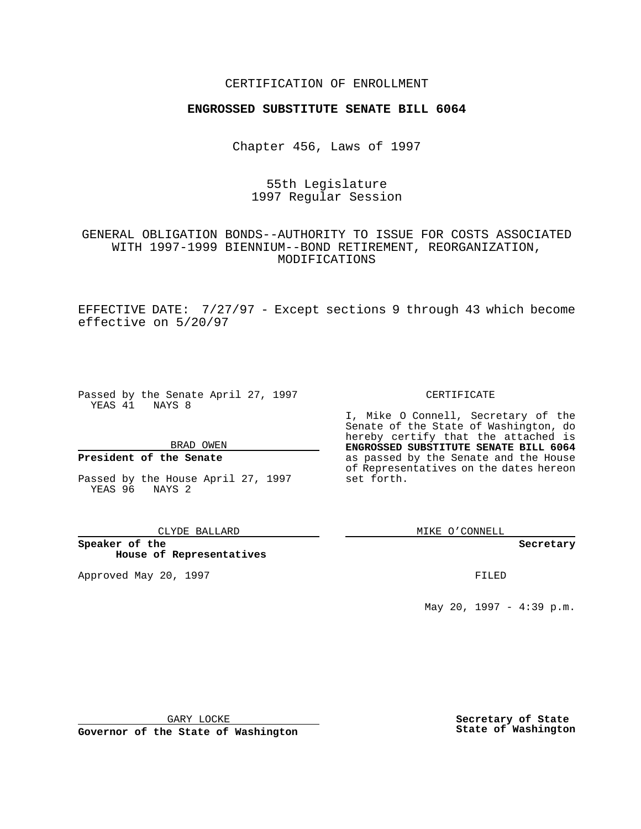## CERTIFICATION OF ENROLLMENT

# **ENGROSSED SUBSTITUTE SENATE BILL 6064**

Chapter 456, Laws of 1997

55th Legislature 1997 Regular Session

GENERAL OBLIGATION BONDS--AUTHORITY TO ISSUE FOR COSTS ASSOCIATED WITH 1997-1999 BIENNIUM--BOND RETIREMENT, REORGANIZATION, MODIFICATIONS

EFFECTIVE DATE: 7/27/97 - Except sections 9 through 43 which become effective on 5/20/97

Passed by the Senate April 27, 1997 YEAS 41 NAYS 8

BRAD OWEN

### **President of the Senate**

Passed by the House April 27, 1997 YEAS 96 NAYS 2

CLYDE BALLARD

**Speaker of the House of Representatives**

Approved May 20, 1997 **FILED** 

### CERTIFICATE

I, Mike O Connell, Secretary of the Senate of the State of Washington, do hereby certify that the attached is **ENGROSSED SUBSTITUTE SENATE BILL 6064** as passed by the Senate and the House of Representatives on the dates hereon set forth.

MIKE O'CONNELL

#### **Secretary**

May 20, 1997 - 4:39 p.m.

GARY LOCKE

**Governor of the State of Washington**

**Secretary of State State of Washington**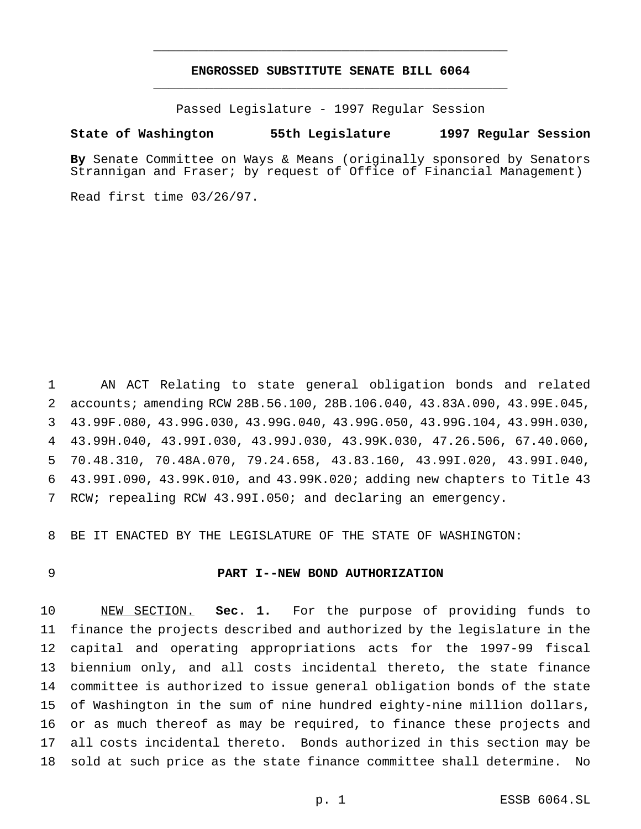# **ENGROSSED SUBSTITUTE SENATE BILL 6064** \_\_\_\_\_\_\_\_\_\_\_\_\_\_\_\_\_\_\_\_\_\_\_\_\_\_\_\_\_\_\_\_\_\_\_\_\_\_\_\_\_\_\_\_\_\_\_

\_\_\_\_\_\_\_\_\_\_\_\_\_\_\_\_\_\_\_\_\_\_\_\_\_\_\_\_\_\_\_\_\_\_\_\_\_\_\_\_\_\_\_\_\_\_\_

Passed Legislature - 1997 Regular Session

#### **State of Washington 55th Legislature 1997 Regular Session**

**By** Senate Committee on Ways & Means (originally sponsored by Senators Strannigan and Fraser; by request of Office of Financial Management)

Read first time 03/26/97.

 AN ACT Relating to state general obligation bonds and related accounts; amending RCW 28B.56.100, 28B.106.040, 43.83A.090, 43.99E.045, 43.99F.080, 43.99G.030, 43.99G.040, 43.99G.050, 43.99G.104, 43.99H.030, 43.99H.040, 43.99I.030, 43.99J.030, 43.99K.030, 47.26.506, 67.40.060, 70.48.310, 70.48A.070, 79.24.658, 43.83.160, 43.99I.020, 43.99I.040, 43.99I.090, 43.99K.010, and 43.99K.020; adding new chapters to Title 43 RCW; repealing RCW 43.99I.050; and declaring an emergency.

BE IT ENACTED BY THE LEGISLATURE OF THE STATE OF WASHINGTON:

### **PART I--NEW BOND AUTHORIZATION**

 NEW SECTION. **Sec. 1.** For the purpose of providing funds to finance the projects described and authorized by the legislature in the capital and operating appropriations acts for the 1997-99 fiscal biennium only, and all costs incidental thereto, the state finance committee is authorized to issue general obligation bonds of the state of Washington in the sum of nine hundred eighty-nine million dollars, or as much thereof as may be required, to finance these projects and all costs incidental thereto. Bonds authorized in this section may be sold at such price as the state finance committee shall determine. No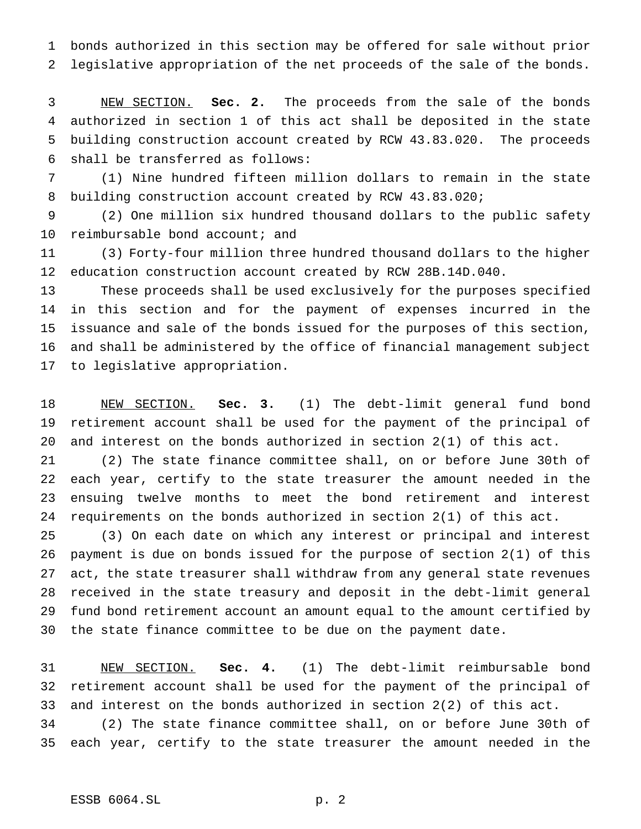bonds authorized in this section may be offered for sale without prior legislative appropriation of the net proceeds of the sale of the bonds.

 NEW SECTION. **Sec. 2.** The proceeds from the sale of the bonds authorized in section 1 of this act shall be deposited in the state building construction account created by RCW 43.83.020. The proceeds shall be transferred as follows:

 (1) Nine hundred fifteen million dollars to remain in the state building construction account created by RCW 43.83.020;

 (2) One million six hundred thousand dollars to the public safety 10 reimbursable bond account; and

 (3) Forty-four million three hundred thousand dollars to the higher education construction account created by RCW 28B.14D.040.

 These proceeds shall be used exclusively for the purposes specified in this section and for the payment of expenses incurred in the issuance and sale of the bonds issued for the purposes of this section, and shall be administered by the office of financial management subject to legislative appropriation.

 NEW SECTION. **Sec. 3.** (1) The debt-limit general fund bond retirement account shall be used for the payment of the principal of and interest on the bonds authorized in section 2(1) of this act.

 (2) The state finance committee shall, on or before June 30th of each year, certify to the state treasurer the amount needed in the ensuing twelve months to meet the bond retirement and interest requirements on the bonds authorized in section 2(1) of this act.

 (3) On each date on which any interest or principal and interest payment is due on bonds issued for the purpose of section 2(1) of this act, the state treasurer shall withdraw from any general state revenues received in the state treasury and deposit in the debt-limit general fund bond retirement account an amount equal to the amount certified by the state finance committee to be due on the payment date.

 NEW SECTION. **Sec. 4.** (1) The debt-limit reimbursable bond retirement account shall be used for the payment of the principal of and interest on the bonds authorized in section 2(2) of this act.

 (2) The state finance committee shall, on or before June 30th of each year, certify to the state treasurer the amount needed in the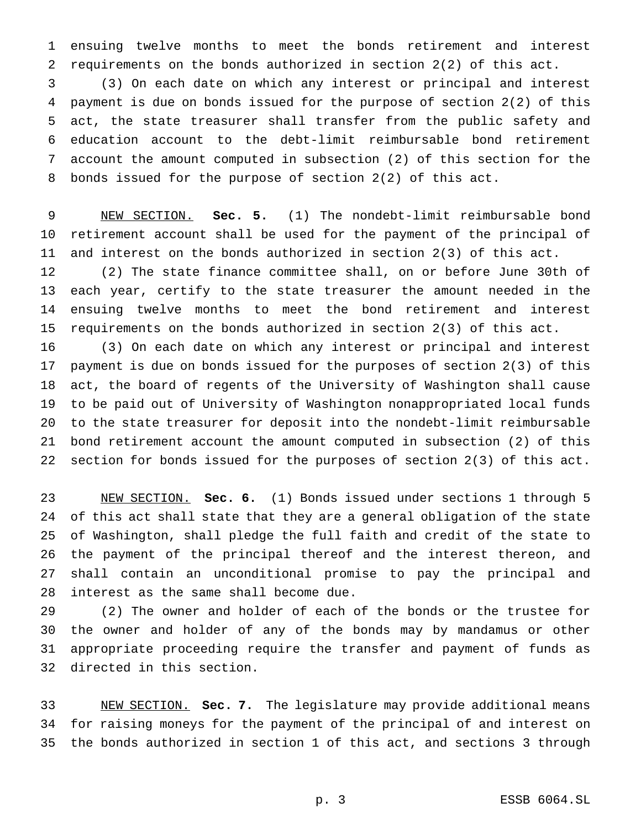ensuing twelve months to meet the bonds retirement and interest requirements on the bonds authorized in section 2(2) of this act.

 (3) On each date on which any interest or principal and interest payment is due on bonds issued for the purpose of section 2(2) of this act, the state treasurer shall transfer from the public safety and education account to the debt-limit reimbursable bond retirement account the amount computed in subsection (2) of this section for the bonds issued for the purpose of section 2(2) of this act.

 NEW SECTION. **Sec. 5.** (1) The nondebt-limit reimbursable bond retirement account shall be used for the payment of the principal of and interest on the bonds authorized in section 2(3) of this act.

 (2) The state finance committee shall, on or before June 30th of each year, certify to the state treasurer the amount needed in the ensuing twelve months to meet the bond retirement and interest requirements on the bonds authorized in section 2(3) of this act.

 (3) On each date on which any interest or principal and interest payment is due on bonds issued for the purposes of section 2(3) of this act, the board of regents of the University of Washington shall cause to be paid out of University of Washington nonappropriated local funds to the state treasurer for deposit into the nondebt-limit reimbursable bond retirement account the amount computed in subsection (2) of this section for bonds issued for the purposes of section 2(3) of this act.

 NEW SECTION. **Sec. 6.** (1) Bonds issued under sections 1 through 5 of this act shall state that they are a general obligation of the state of Washington, shall pledge the full faith and credit of the state to the payment of the principal thereof and the interest thereon, and shall contain an unconditional promise to pay the principal and interest as the same shall become due.

 (2) The owner and holder of each of the bonds or the trustee for the owner and holder of any of the bonds may by mandamus or other appropriate proceeding require the transfer and payment of funds as directed in this section.

 NEW SECTION. **Sec. 7.** The legislature may provide additional means for raising moneys for the payment of the principal of and interest on the bonds authorized in section 1 of this act, and sections 3 through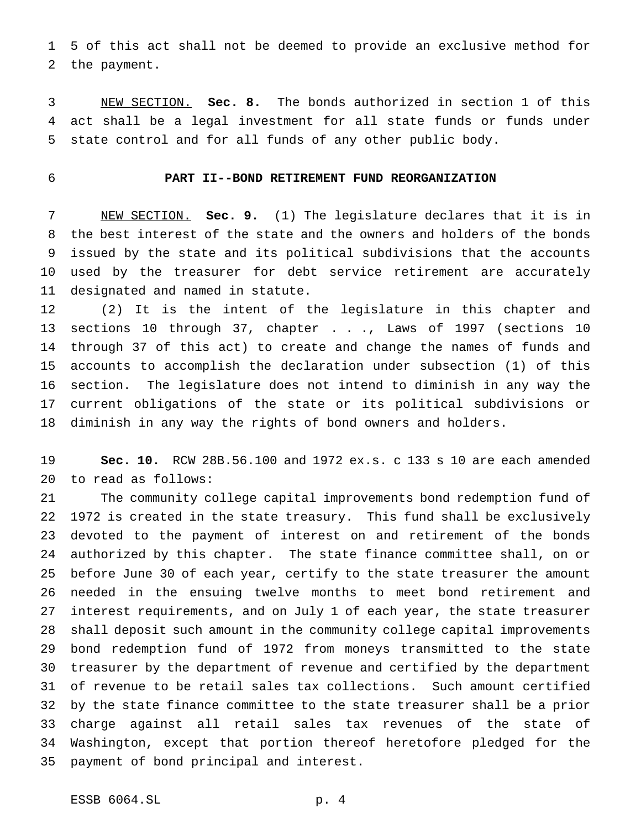5 of this act shall not be deemed to provide an exclusive method for the payment.

 NEW SECTION. **Sec. 8.** The bonds authorized in section 1 of this act shall be a legal investment for all state funds or funds under state control and for all funds of any other public body.

# **PART II--BOND RETIREMENT FUND REORGANIZATION**

 NEW SECTION. **Sec. 9.** (1) The legislature declares that it is in the best interest of the state and the owners and holders of the bonds issued by the state and its political subdivisions that the accounts used by the treasurer for debt service retirement are accurately designated and named in statute.

 (2) It is the intent of the legislature in this chapter and sections 10 through 37, chapter . . ., Laws of 1997 (sections 10 through 37 of this act) to create and change the names of funds and accounts to accomplish the declaration under subsection (1) of this section. The legislature does not intend to diminish in any way the current obligations of the state or its political subdivisions or diminish in any way the rights of bond owners and holders.

 **Sec. 10.** RCW 28B.56.100 and 1972 ex.s. c 133 s 10 are each amended to read as follows:

 The community college capital improvements bond redemption fund of 1972 is created in the state treasury. This fund shall be exclusively devoted to the payment of interest on and retirement of the bonds authorized by this chapter. The state finance committee shall, on or before June 30 of each year, certify to the state treasurer the amount needed in the ensuing twelve months to meet bond retirement and interest requirements, and on July 1 of each year, the state treasurer shall deposit such amount in the community college capital improvements bond redemption fund of 1972 from moneys transmitted to the state treasurer by the department of revenue and certified by the department of revenue to be retail sales tax collections. Such amount certified by the state finance committee to the state treasurer shall be a prior charge against all retail sales tax revenues of the state of Washington, except that portion thereof heretofore pledged for the payment of bond principal and interest.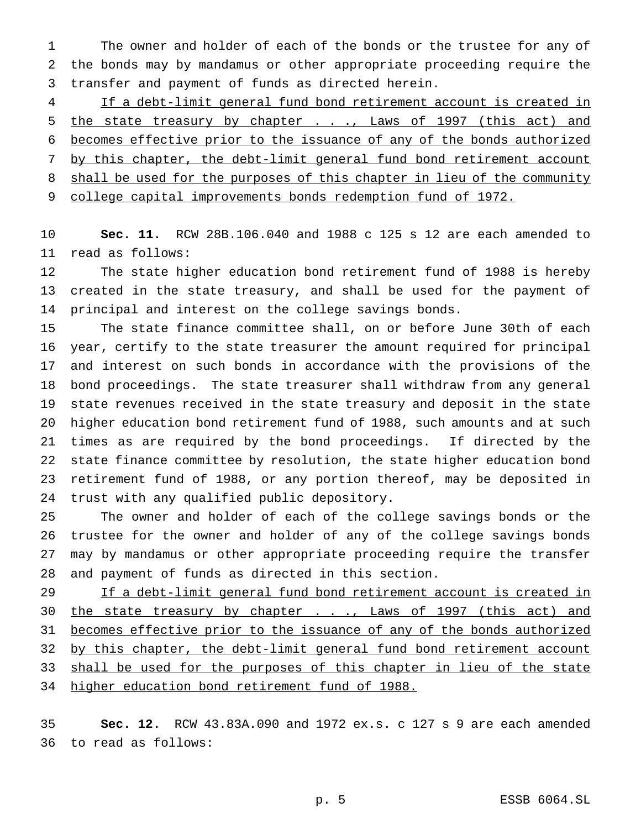The owner and holder of each of the bonds or the trustee for any of the bonds may by mandamus or other appropriate proceeding require the transfer and payment of funds as directed herein.

 If a debt-limit general fund bond retirement account is created in 5 the state treasury by chapter . . ., Laws of 1997 (this act) and becomes effective prior to the issuance of any of the bonds authorized 7 by this chapter, the debt-limit general fund bond retirement account 8 shall be used for the purposes of this chapter in lieu of the community 9 college capital improvements bonds redemption fund of 1972.

 **Sec. 11.** RCW 28B.106.040 and 1988 c 125 s 12 are each amended to read as follows:

 The state higher education bond retirement fund of 1988 is hereby created in the state treasury, and shall be used for the payment of principal and interest on the college savings bonds.

 The state finance committee shall, on or before June 30th of each year, certify to the state treasurer the amount required for principal and interest on such bonds in accordance with the provisions of the bond proceedings. The state treasurer shall withdraw from any general state revenues received in the state treasury and deposit in the state higher education bond retirement fund of 1988, such amounts and at such times as are required by the bond proceedings. If directed by the state finance committee by resolution, the state higher education bond retirement fund of 1988, or any portion thereof, may be deposited in trust with any qualified public depository.

 The owner and holder of each of the college savings bonds or the trustee for the owner and holder of any of the college savings bonds may by mandamus or other appropriate proceeding require the transfer and payment of funds as directed in this section.

29 If a debt-limit general fund bond retirement account is created in 30 the state treasury by chapter . . ., Laws of 1997 (this act) and 31 becomes effective prior to the issuance of any of the bonds authorized 32 by this chapter, the debt-limit general fund bond retirement account 33 shall be used for the purposes of this chapter in lieu of the state higher education bond retirement fund of 1988.

 **Sec. 12.** RCW 43.83A.090 and 1972 ex.s. c 127 s 9 are each amended to read as follows: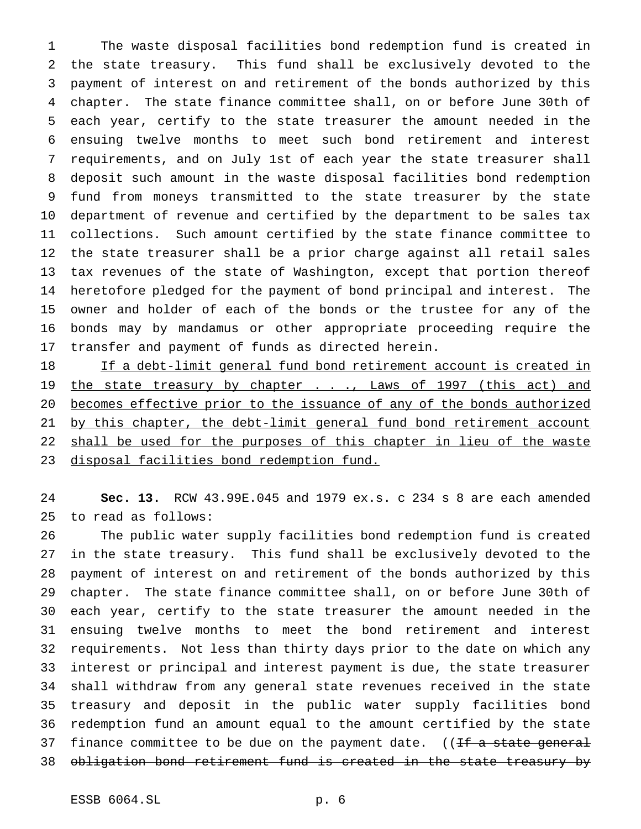The waste disposal facilities bond redemption fund is created in the state treasury. This fund shall be exclusively devoted to the payment of interest on and retirement of the bonds authorized by this chapter. The state finance committee shall, on or before June 30th of each year, certify to the state treasurer the amount needed in the ensuing twelve months to meet such bond retirement and interest requirements, and on July 1st of each year the state treasurer shall deposit such amount in the waste disposal facilities bond redemption fund from moneys transmitted to the state treasurer by the state department of revenue and certified by the department to be sales tax collections. Such amount certified by the state finance committee to the state treasurer shall be a prior charge against all retail sales tax revenues of the state of Washington, except that portion thereof heretofore pledged for the payment of bond principal and interest. The owner and holder of each of the bonds or the trustee for any of the bonds may by mandamus or other appropriate proceeding require the transfer and payment of funds as directed herein.

18 If a debt-limit general fund bond retirement account is created in 19 the state treasury by chapter . . ., Laws of 1997 (this act) and becomes effective prior to the issuance of any of the bonds authorized 21 by this chapter, the debt-limit general fund bond retirement account 22 shall be used for the purposes of this chapter in lieu of the waste 23 disposal facilities bond redemption fund.

 **Sec. 13.** RCW 43.99E.045 and 1979 ex.s. c 234 s 8 are each amended to read as follows:

 The public water supply facilities bond redemption fund is created in the state treasury. This fund shall be exclusively devoted to the payment of interest on and retirement of the bonds authorized by this chapter. The state finance committee shall, on or before June 30th of each year, certify to the state treasurer the amount needed in the ensuing twelve months to meet the bond retirement and interest requirements. Not less than thirty days prior to the date on which any interest or principal and interest payment is due, the state treasurer shall withdraw from any general state revenues received in the state treasury and deposit in the public water supply facilities bond redemption fund an amount equal to the amount certified by the state 37 finance committee to be due on the payment date. ((If a state general obligation bond retirement fund is created in the state treasury by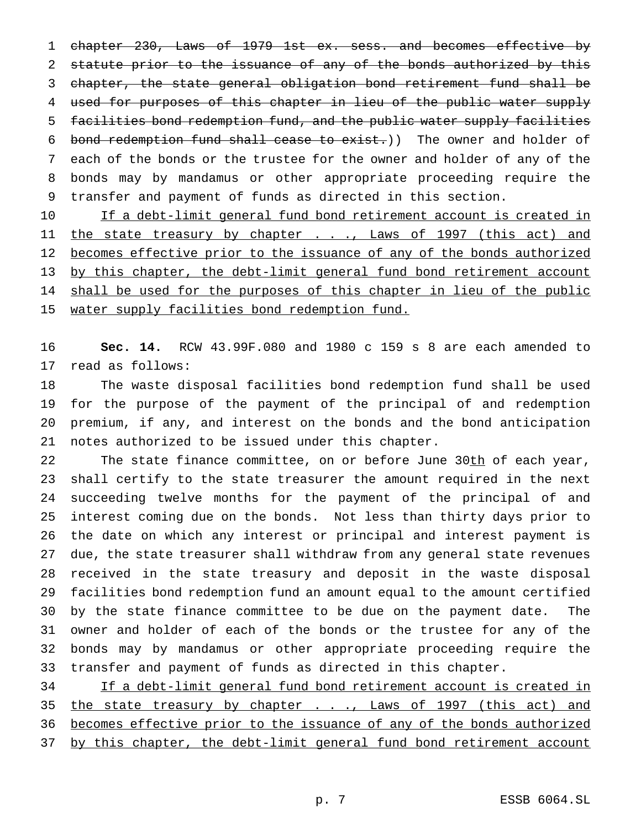chapter 230, Laws of 1979 1st ex. sess. and becomes effective by 2 statute prior to the issuance of any of the bonds authorized by this chapter, the state general obligation bond retirement fund shall be used for purposes of this chapter in lieu of the public water supply facilities bond redemption fund, and the public water supply facilities bond redemption fund shall cease to exist.)) The owner and holder of each of the bonds or the trustee for the owner and holder of any of the bonds may by mandamus or other appropriate proceeding require the transfer and payment of funds as directed in this section.

10 If a debt-limit general fund bond retirement account is created in 11 the state treasury by chapter . . ., Laws of 1997 (this act) and becomes effective prior to the issuance of any of the bonds authorized by this chapter, the debt-limit general fund bond retirement account 14 shall be used for the purposes of this chapter in lieu of the public 15 water supply facilities bond redemption fund.

 **Sec. 14.** RCW 43.99F.080 and 1980 c 159 s 8 are each amended to read as follows:

 The waste disposal facilities bond redemption fund shall be used for the purpose of the payment of the principal of and redemption premium, if any, and interest on the bonds and the bond anticipation notes authorized to be issued under this chapter.

22 The state finance committee, on or before June 30th of each year, shall certify to the state treasurer the amount required in the next succeeding twelve months for the payment of the principal of and interest coming due on the bonds. Not less than thirty days prior to the date on which any interest or principal and interest payment is due, the state treasurer shall withdraw from any general state revenues received in the state treasury and deposit in the waste disposal facilities bond redemption fund an amount equal to the amount certified by the state finance committee to be due on the payment date. The owner and holder of each of the bonds or the trustee for any of the bonds may by mandamus or other appropriate proceeding require the transfer and payment of funds as directed in this chapter.

 If a debt-limit general fund bond retirement account is created in 35 the state treasury by chapter . . ., Laws of 1997 (this act) and becomes effective prior to the issuance of any of the bonds authorized by this chapter, the debt-limit general fund bond retirement account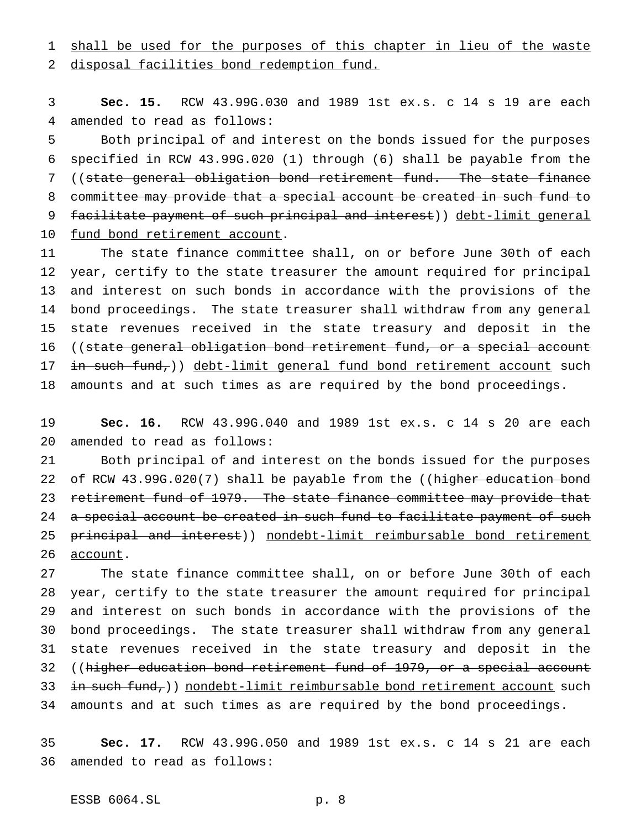1 shall be used for the purposes of this chapter in lieu of the waste

disposal facilities bond redemption fund.

 **Sec. 15.** RCW 43.99G.030 and 1989 1st ex.s. c 14 s 19 are each amended to read as follows:

 Both principal of and interest on the bonds issued for the purposes specified in RCW 43.99G.020 (1) through (6) shall be payable from the ((state general obligation bond retirement fund. The state finance committee may provide that a special account be created in such fund to 9 facilitate payment of such principal and interest)) debt-limit general 10 fund bond retirement account.

 The state finance committee shall, on or before June 30th of each year, certify to the state treasurer the amount required for principal and interest on such bonds in accordance with the provisions of the bond proceedings. The state treasurer shall withdraw from any general state revenues received in the state treasury and deposit in the 16 ((state general obligation bond retirement fund, or a special account 17 in such fund,)) debt-limit general fund bond retirement account such amounts and at such times as are required by the bond proceedings.

 **Sec. 16.** RCW 43.99G.040 and 1989 1st ex.s. c 14 s 20 are each amended to read as follows:

 Both principal of and interest on the bonds issued for the purposes 22 of RCW 43.99G.020(7) shall be payable from the ((higher education bond 23 retirement fund of 1979. The state finance committee may provide that 24 a special account be created in such fund to facilitate payment of such 25 principal and interest)) nondebt-limit reimbursable bond retirement 26 account.

 The state finance committee shall, on or before June 30th of each year, certify to the state treasurer the amount required for principal and interest on such bonds in accordance with the provisions of the bond proceedings. The state treasurer shall withdraw from any general state revenues received in the state treasury and deposit in the 32 ((higher education bond retirement fund of 1979, or a special account  $\pm$ n such fund,) nondebt-limit reimbursable bond retirement account such amounts and at such times as are required by the bond proceedings.

 **Sec. 17.** RCW 43.99G.050 and 1989 1st ex.s. c 14 s 21 are each amended to read as follows: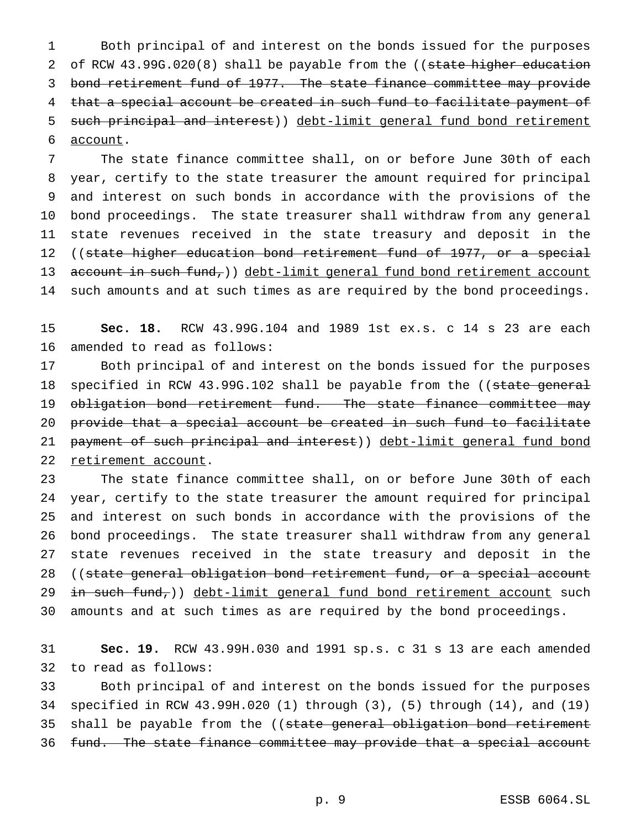Both principal of and interest on the bonds issued for the purposes 2 of RCW 43.99G.020(8) shall be payable from the ((state higher education bond retirement fund of 1977. The state finance committee may provide that a special account be created in such fund to facilitate payment of such principal and interest)) debt-limit general fund bond retirement account.

 The state finance committee shall, on or before June 30th of each year, certify to the state treasurer the amount required for principal and interest on such bonds in accordance with the provisions of the bond proceedings. The state treasurer shall withdraw from any general state revenues received in the state treasury and deposit in the 12 ((state higher education bond retirement fund of 1977, or a special 13 account in such  $fund_{\tau}$ ) debt-limit general fund bond retirement account such amounts and at such times as are required by the bond proceedings.

 **Sec. 18.** RCW 43.99G.104 and 1989 1st ex.s. c 14 s 23 are each amended to read as follows:

 Both principal of and interest on the bonds issued for the purposes 18 specified in RCW 43.99G.102 shall be payable from the ((state general 19 obligation bond retirement fund. The state finance committee may provide that a special account be created in such fund to facilitate 21 payment of such principal and interest)) debt-limit general fund bond 22 retirement account.

 The state finance committee shall, on or before June 30th of each year, certify to the state treasurer the amount required for principal and interest on such bonds in accordance with the provisions of the bond proceedings. The state treasurer shall withdraw from any general state revenues received in the state treasury and deposit in the 28 ((state general obligation bond retirement fund, or a special account 29 in such fund,)) debt-limit general fund bond retirement account such amounts and at such times as are required by the bond proceedings.

 **Sec. 19.** RCW 43.99H.030 and 1991 sp.s. c 31 s 13 are each amended to read as follows:

 Both principal of and interest on the bonds issued for the purposes specified in RCW 43.99H.020 (1) through (3), (5) through (14), and (19) 35 shall be payable from the ((state general obligation bond retirement fund. The state finance committee may provide that a special account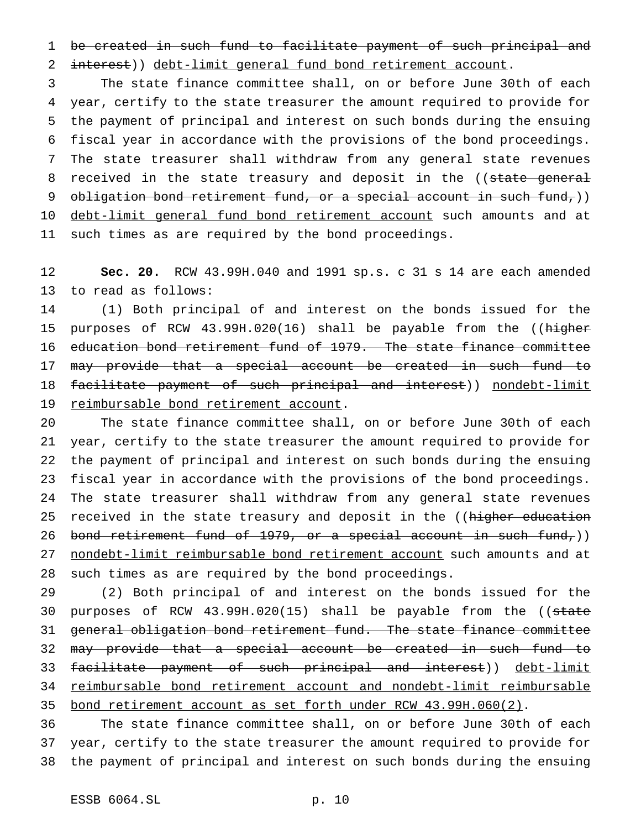be created in such fund to facilitate payment of such principal and interest)) debt-limit general fund bond retirement account.

 The state finance committee shall, on or before June 30th of each year, certify to the state treasurer the amount required to provide for the payment of principal and interest on such bonds during the ensuing fiscal year in accordance with the provisions of the bond proceedings. The state treasurer shall withdraw from any general state revenues 8 received in the state treasury and deposit in the ((state general 9 obligation bond retirement fund, or a special account in such fund,)) 10 debt-limit general fund bond retirement account such amounts and at such times as are required by the bond proceedings.

 **Sec. 20.** RCW 43.99H.040 and 1991 sp.s. c 31 s 14 are each amended to read as follows:

 (1) Both principal of and interest on the bonds issued for the 15 purposes of RCW 43.99H.020(16) shall be payable from the ((higher education bond retirement fund of 1979. The state finance committee may provide that a special account be created in such fund to 18 facilitate payment of such principal and interest)) nondebt-limit reimbursable bond retirement account.

 The state finance committee shall, on or before June 30th of each year, certify to the state treasurer the amount required to provide for the payment of principal and interest on such bonds during the ensuing fiscal year in accordance with the provisions of the bond proceedings. The state treasurer shall withdraw from any general state revenues 25 received in the state treasury and deposit in the ((higher education 26 bond retirement fund of 1979, or a special account in such fund,)) 27 nondebt-limit reimbursable bond retirement account such amounts and at such times as are required by the bond proceedings.

 (2) Both principal of and interest on the bonds issued for the 30 purposes of RCW 43.99H.020(15) shall be payable from the ((state general obligation bond retirement fund. The state finance committee may provide that a special account be created in such fund to facilitate payment of such principal and interest)) debt-limit reimbursable bond retirement account and nondebt-limit reimbursable bond retirement account as set forth under RCW 43.99H.060(2).

 The state finance committee shall, on or before June 30th of each year, certify to the state treasurer the amount required to provide for the payment of principal and interest on such bonds during the ensuing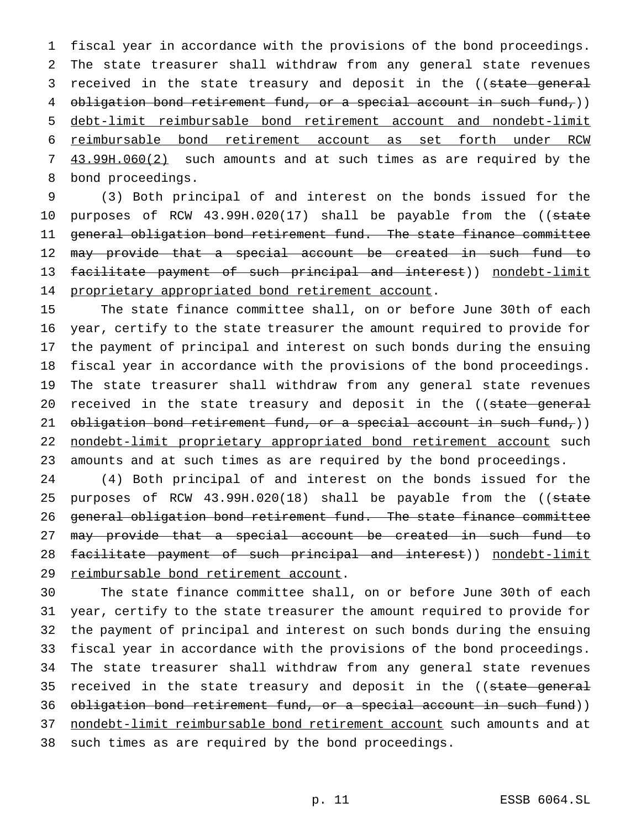fiscal year in accordance with the provisions of the bond proceedings. The state treasurer shall withdraw from any general state revenues 3 received in the state treasury and deposit in the ((state general 4 obligation bond retirement fund, or a special account in such fund,)) debt-limit reimbursable bond retirement account and nondebt-limit reimbursable bond retirement account as set forth under RCW 43.99H.060(2) such amounts and at such times as are required by the bond proceedings.

9 (3) Both principal of and interest on the bonds issued for the 10 purposes of RCW 43.99H.020(17) shall be payable from the ((state 11 general obligation bond retirement fund. The state finance committee 12 may provide that a special account be created in such fund to 13 facilitate payment of such principal and interest)) nondebt-limit 14 proprietary appropriated bond retirement account.

 The state finance committee shall, on or before June 30th of each year, certify to the state treasurer the amount required to provide for the payment of principal and interest on such bonds during the ensuing fiscal year in accordance with the provisions of the bond proceedings. The state treasurer shall withdraw from any general state revenues 20 received in the state treasury and deposit in the ((state general 21 obligation bond retirement fund, or a special account in such fund,)) 22 nondebt-limit proprietary appropriated bond retirement account such amounts and at such times as are required by the bond proceedings.

24 (4) Both principal of and interest on the bonds issued for the 25 purposes of RCW 43.99H.020(18) shall be payable from the ((state 26 general obligation bond retirement fund. The state finance committee 27 may provide that a special account be created in such fund to 28 facilitate payment of such principal and interest)) nondebt-limit 29 reimbursable bond retirement account.

 The state finance committee shall, on or before June 30th of each year, certify to the state treasurer the amount required to provide for the payment of principal and interest on such bonds during the ensuing fiscal year in accordance with the provisions of the bond proceedings. The state treasurer shall withdraw from any general state revenues 35 received in the state treasury and deposit in the ((state general 36 obligation bond retirement fund, or a special account in such fund)) 37 nondebt-limit reimbursable bond retirement account such amounts and at such times as are required by the bond proceedings.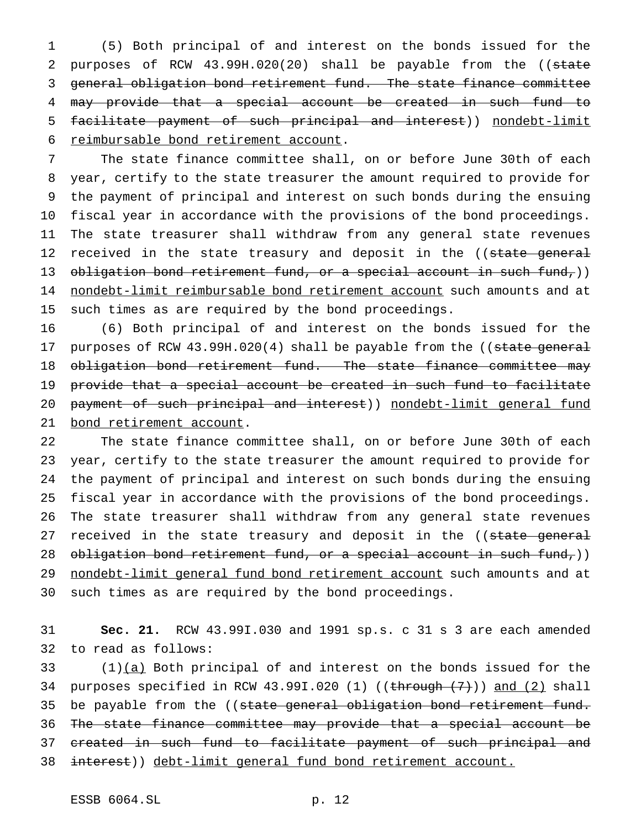(5) Both principal of and interest on the bonds issued for the 2 purposes of RCW 43.99H.020(20) shall be payable from the ((state general obligation bond retirement fund. The state finance committee may provide that a special account be created in such fund to facilitate payment of such principal and interest)) nondebt-limit reimbursable bond retirement account.

 The state finance committee shall, on or before June 30th of each year, certify to the state treasurer the amount required to provide for the payment of principal and interest on such bonds during the ensuing fiscal year in accordance with the provisions of the bond proceedings. The state treasurer shall withdraw from any general state revenues 12 received in the state treasury and deposit in the ((state general 13 obligation bond retirement fund, or a special account in such fund,)) 14 nondebt-limit reimbursable bond retirement account such amounts and at such times as are required by the bond proceedings.

 (6) Both principal of and interest on the bonds issued for the 17 purposes of RCW 43.99H.020(4) shall be payable from the ((state general 18 obligation bond retirement fund. The state finance committee may provide that a special account be created in such fund to facilitate 20 payment of such principal and interest)) nondebt-limit general fund bond retirement account.

 The state finance committee shall, on or before June 30th of each year, certify to the state treasurer the amount required to provide for the payment of principal and interest on such bonds during the ensuing fiscal year in accordance with the provisions of the bond proceedings. The state treasurer shall withdraw from any general state revenues 27 received in the state treasury and deposit in the ((state general 28 obligation bond retirement fund, or a special account in such fund,)) 29 nondebt-limit general fund bond retirement account such amounts and at such times as are required by the bond proceedings.

 **Sec. 21.** RCW 43.99I.030 and 1991 sp.s. c 31 s 3 are each amended to read as follows:

 (1) $(a)$  Both principal of and interest on the bonds issued for the 34 purposes specified in RCW 43.99I.020 (1) (( $\frac{\text{through (7)}}{\text{and (2)}}$  shall 35 be payable from the ((state general obligation bond retirement fund. The state finance committee may provide that a special account be 37 created in such fund to facilitate payment of such principal and interest)) debt-limit general fund bond retirement account.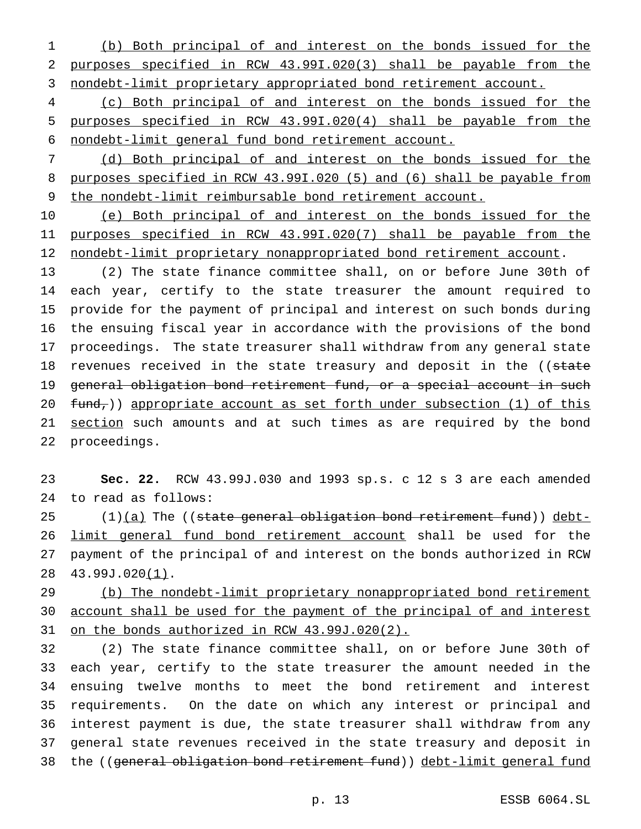(b) Both principal of and interest on the bonds issued for the purposes specified in RCW 43.99I.020(3) shall be payable from the nondebt-limit proprietary appropriated bond retirement account.

 (c) Both principal of and interest on the bonds issued for the purposes specified in RCW 43.99I.020(4) shall be payable from the nondebt-limit general fund bond retirement account.

 (d) Both principal of and interest on the bonds issued for the purposes specified in RCW 43.99I.020 (5) and (6) shall be payable from the nondebt-limit reimbursable bond retirement account.

 (e) Both principal of and interest on the bonds issued for the purposes specified in RCW 43.99I.020(7) shall be payable from the 12 nondebt-limit proprietary nonappropriated bond retirement account.

 (2) The state finance committee shall, on or before June 30th of each year, certify to the state treasurer the amount required to provide for the payment of principal and interest on such bonds during the ensuing fiscal year in accordance with the provisions of the bond proceedings. The state treasurer shall withdraw from any general state 18 revenues received in the state treasury and deposit in the ((state 19 general obligation bond retirement fund, or a special account in such  $fund<sub>r</sub>$ )) appropriate account as set forth under subsection (1) of this 21 section such amounts and at such times as are required by the bond proceedings.

 **Sec. 22.** RCW 43.99J.030 and 1993 sp.s. c 12 s 3 are each amended to read as follows:

 (1) $(a)$  The ((state general obligation bond retirement fund)) debt- limit general fund bond retirement account shall be used for the payment of the principal of and interest on the bonds authorized in RCW 43.99J.020(1).

29 (b) The nondebt-limit proprietary nonappropriated bond retirement 30 account shall be used for the payment of the principal of and interest on the bonds authorized in RCW 43.99J.020(2).

 (2) The state finance committee shall, on or before June 30th of each year, certify to the state treasurer the amount needed in the ensuing twelve months to meet the bond retirement and interest requirements. On the date on which any interest or principal and interest payment is due, the state treasurer shall withdraw from any general state revenues received in the state treasury and deposit in the ((general obligation bond retirement fund)) debt-limit general fund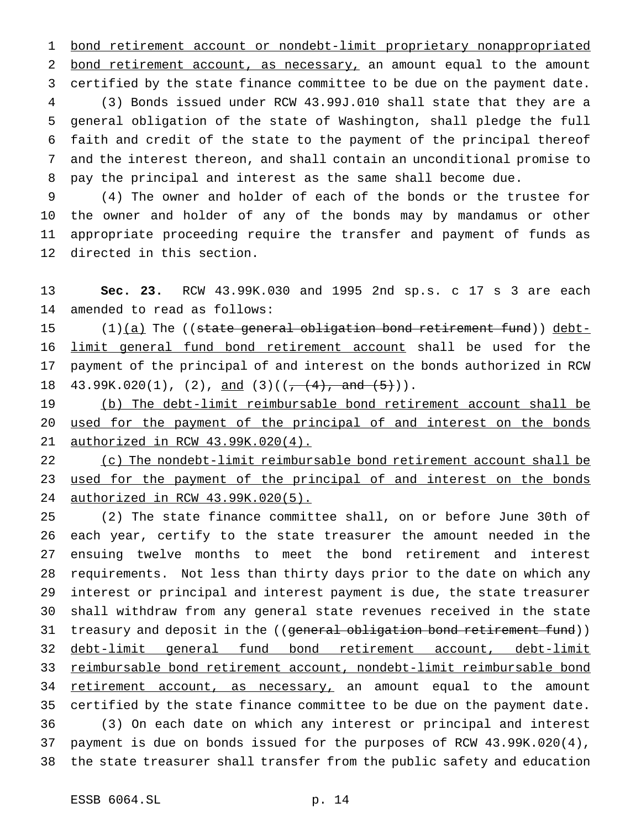bond retirement account or nondebt-limit proprietary nonappropriated bond retirement account, as necessary, an amount equal to the amount certified by the state finance committee to be due on the payment date. (3) Bonds issued under RCW 43.99J.010 shall state that they are a general obligation of the state of Washington, shall pledge the full faith and credit of the state to the payment of the principal thereof and the interest thereon, and shall contain an unconditional promise to pay the principal and interest as the same shall become due.

 (4) The owner and holder of each of the bonds or the trustee for the owner and holder of any of the bonds may by mandamus or other appropriate proceeding require the transfer and payment of funds as directed in this section.

 **Sec. 23.** RCW 43.99K.030 and 1995 2nd sp.s. c 17 s 3 are each amended to read as follows:

 $(1)(a)$  The ((state general obligation bond retirement fund)) debt- limit general fund bond retirement account shall be used for the payment of the principal of and interest on the bonds authorized in RCW 18 43.99K.020(1), (2), and (3)(( $\frac{+}{+}(4)$ , and  $(5)$ )).

 (b) The debt-limit reimbursable bond retirement account shall be 20 used for the payment of the principal of and interest on the bonds authorized in RCW 43.99K.020(4).

 (c) The nondebt-limit reimbursable bond retirement account shall be 23 used for the payment of the principal of and interest on the bonds authorized in RCW 43.99K.020(5).

 (2) The state finance committee shall, on or before June 30th of each year, certify to the state treasurer the amount needed in the ensuing twelve months to meet the bond retirement and interest requirements. Not less than thirty days prior to the date on which any interest or principal and interest payment is due, the state treasurer shall withdraw from any general state revenues received in the state 31 treasury and deposit in the ((general obligation bond retirement fund)) debt-limit general fund bond retirement account, debt-limit reimbursable bond retirement account, nondebt-limit reimbursable bond 34 retirement account, as necessary, an amount equal to the amount certified by the state finance committee to be due on the payment date. (3) On each date on which any interest or principal and interest payment is due on bonds issued for the purposes of RCW 43.99K.020(4), the state treasurer shall transfer from the public safety and education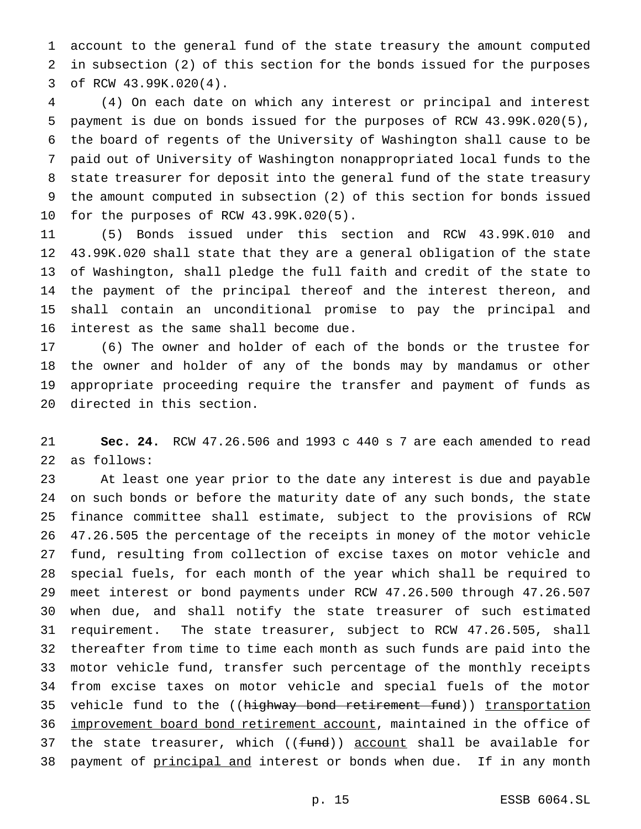account to the general fund of the state treasury the amount computed in subsection (2) of this section for the bonds issued for the purposes of RCW 43.99K.020(4).

 (4) On each date on which any interest or principal and interest payment is due on bonds issued for the purposes of RCW 43.99K.020(5), the board of regents of the University of Washington shall cause to be paid out of University of Washington nonappropriated local funds to the state treasurer for deposit into the general fund of the state treasury the amount computed in subsection (2) of this section for bonds issued for the purposes of RCW 43.99K.020(5).

 (5) Bonds issued under this section and RCW 43.99K.010 and 43.99K.020 shall state that they are a general obligation of the state of Washington, shall pledge the full faith and credit of the state to the payment of the principal thereof and the interest thereon, and shall contain an unconditional promise to pay the principal and interest as the same shall become due.

 (6) The owner and holder of each of the bonds or the trustee for the owner and holder of any of the bonds may by mandamus or other appropriate proceeding require the transfer and payment of funds as directed in this section.

 **Sec. 24.** RCW 47.26.506 and 1993 c 440 s 7 are each amended to read as follows:

 At least one year prior to the date any interest is due and payable on such bonds or before the maturity date of any such bonds, the state finance committee shall estimate, subject to the provisions of RCW 47.26.505 the percentage of the receipts in money of the motor vehicle fund, resulting from collection of excise taxes on motor vehicle and special fuels, for each month of the year which shall be required to meet interest or bond payments under RCW 47.26.500 through 47.26.507 when due, and shall notify the state treasurer of such estimated requirement. The state treasurer, subject to RCW 47.26.505, shall thereafter from time to time each month as such funds are paid into the motor vehicle fund, transfer such percentage of the monthly receipts from excise taxes on motor vehicle and special fuels of the motor 35 vehicle fund to the ((highway bond retirement fund)) transportation 36 improvement board bond retirement account, maintained in the office of 37 the state treasurer, which ((fund)) account shall be available for 38 payment of principal and interest or bonds when due. If in any month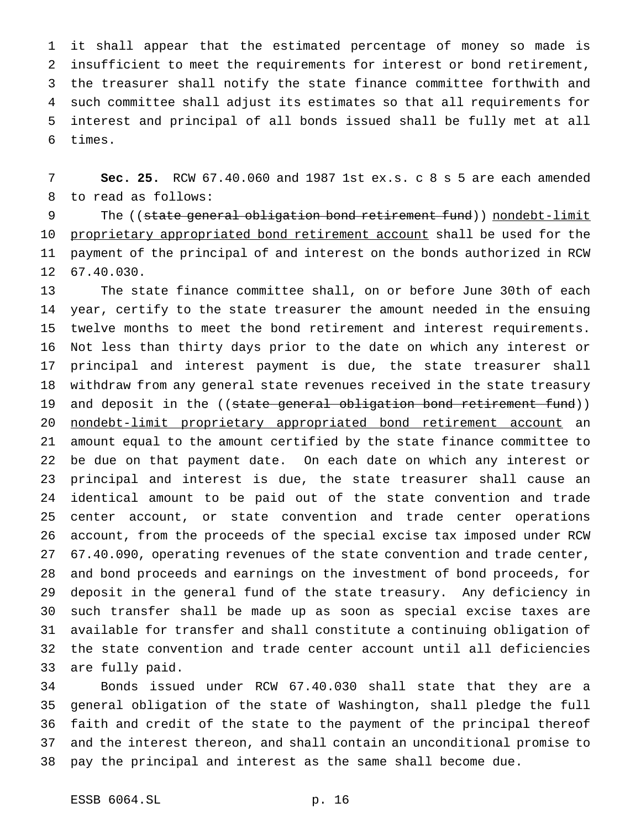it shall appear that the estimated percentage of money so made is insufficient to meet the requirements for interest or bond retirement, the treasurer shall notify the state finance committee forthwith and such committee shall adjust its estimates so that all requirements for interest and principal of all bonds issued shall be fully met at all times.

 **Sec. 25.** RCW 67.40.060 and 1987 1st ex.s. c 8 s 5 are each amended to read as follows:

9 The ((state general obligation bond retirement fund)) nondebt-limit 10 proprietary appropriated bond retirement account shall be used for the payment of the principal of and interest on the bonds authorized in RCW 67.40.030.

 The state finance committee shall, on or before June 30th of each year, certify to the state treasurer the amount needed in the ensuing twelve months to meet the bond retirement and interest requirements. Not less than thirty days prior to the date on which any interest or principal and interest payment is due, the state treasurer shall withdraw from any general state revenues received in the state treasury 19 and deposit in the ((state general obligation bond retirement fund)) nondebt-limit proprietary appropriated bond retirement account an amount equal to the amount certified by the state finance committee to be due on that payment date. On each date on which any interest or principal and interest is due, the state treasurer shall cause an identical amount to be paid out of the state convention and trade center account, or state convention and trade center operations account, from the proceeds of the special excise tax imposed under RCW 67.40.090, operating revenues of the state convention and trade center, and bond proceeds and earnings on the investment of bond proceeds, for deposit in the general fund of the state treasury. Any deficiency in such transfer shall be made up as soon as special excise taxes are available for transfer and shall constitute a continuing obligation of the state convention and trade center account until all deficiencies are fully paid.

 Bonds issued under RCW 67.40.030 shall state that they are a general obligation of the state of Washington, shall pledge the full faith and credit of the state to the payment of the principal thereof and the interest thereon, and shall contain an unconditional promise to pay the principal and interest as the same shall become due.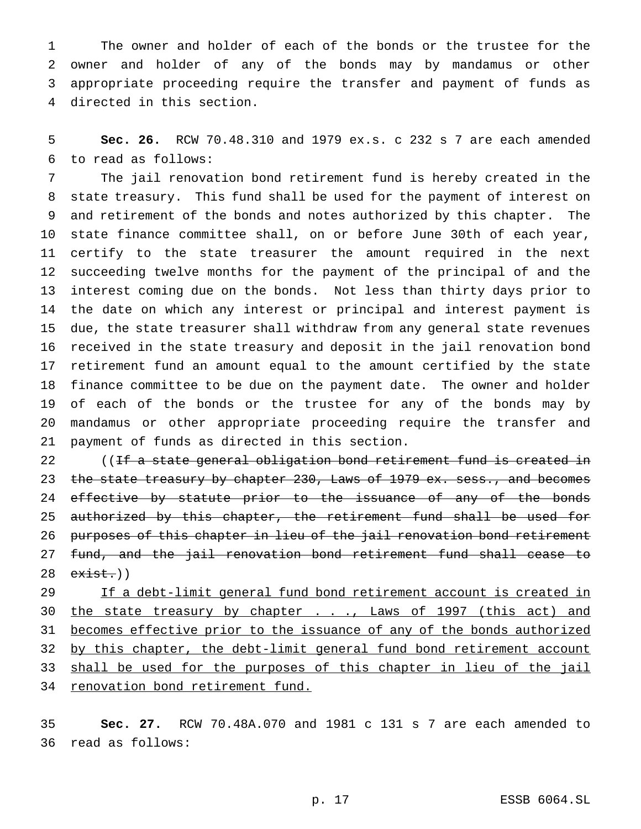The owner and holder of each of the bonds or the trustee for the owner and holder of any of the bonds may by mandamus or other appropriate proceeding require the transfer and payment of funds as directed in this section.

 **Sec. 26.** RCW 70.48.310 and 1979 ex.s. c 232 s 7 are each amended to read as follows:

 The jail renovation bond retirement fund is hereby created in the state treasury. This fund shall be used for the payment of interest on and retirement of the bonds and notes authorized by this chapter. The state finance committee shall, on or before June 30th of each year, certify to the state treasurer the amount required in the next succeeding twelve months for the payment of the principal of and the interest coming due on the bonds. Not less than thirty days prior to the date on which any interest or principal and interest payment is due, the state treasurer shall withdraw from any general state revenues received in the state treasury and deposit in the jail renovation bond retirement fund an amount equal to the amount certified by the state finance committee to be due on the payment date. The owner and holder of each of the bonds or the trustee for any of the bonds may by mandamus or other appropriate proceeding require the transfer and payment of funds as directed in this section.

22 ((If a state general obligation bond retirement fund is created in 23 the state treasury by chapter 230, Laws of 1979 ex. sess., and becomes 24 effective by statute prior to the issuance of any of the bonds 25 authorized by this chapter, the retirement fund shall be used for 26 purposes of this chapter in lieu of the jail renovation bond retirement fund, and the jail renovation bond retirement fund shall cease to 28 e<del>xist.</del>))

29 If a debt-limit general fund bond retirement account is created in 30 the state treasury by chapter . . ., Laws of 1997 (this act) and 31 becomes effective prior to the issuance of any of the bonds authorized 32 by this chapter, the debt-limit general fund bond retirement account 33 shall be used for the purposes of this chapter in lieu of the jail 34 renovation bond retirement fund.

 **Sec. 27.** RCW 70.48A.070 and 1981 c 131 s 7 are each amended to read as follows: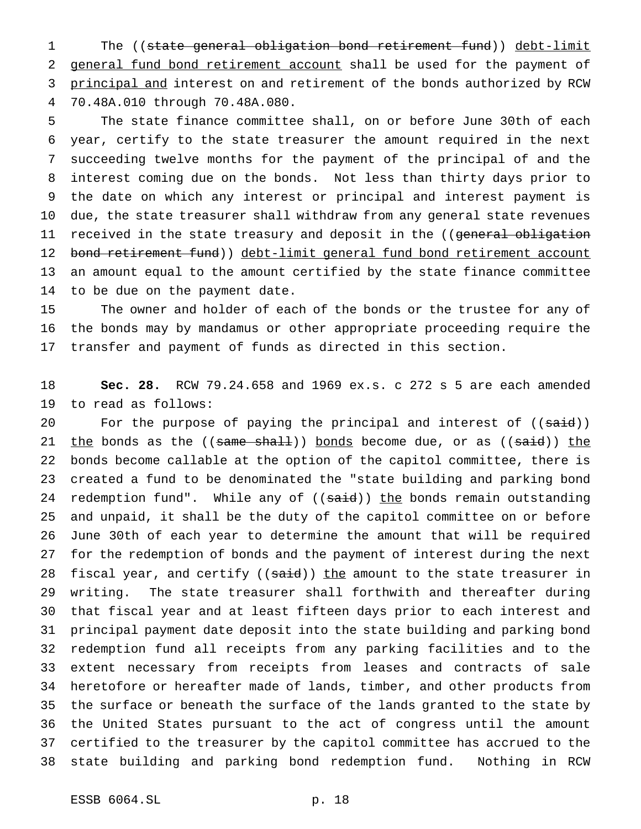The ((state general obligation bond retirement fund)) debt-limit 2 general fund bond retirement account shall be used for the payment of 3 principal and interest on and retirement of the bonds authorized by RCW 70.48A.010 through 70.48A.080.

 The state finance committee shall, on or before June 30th of each year, certify to the state treasurer the amount required in the next succeeding twelve months for the payment of the principal of and the interest coming due on the bonds. Not less than thirty days prior to the date on which any interest or principal and interest payment is due, the state treasurer shall withdraw from any general state revenues 11 received in the state treasury and deposit in the ((general obligation 12 bond retirement fund)) debt-limit general fund bond retirement account an amount equal to the amount certified by the state finance committee to be due on the payment date.

 The owner and holder of each of the bonds or the trustee for any of the bonds may by mandamus or other appropriate proceeding require the transfer and payment of funds as directed in this section.

 **Sec. 28.** RCW 79.24.658 and 1969 ex.s. c 272 s 5 are each amended to read as follows:

20 For the purpose of paying the principal and interest of ((said))  $the$  bonds as the ((same shall)) bonds become due, or as ((said))  $the$  bonds become callable at the option of the capitol committee, there is created a fund to be denominated the "state building and parking bond 24 redemption fund". While any of ((said)) the bonds remain outstanding and unpaid, it shall be the duty of the capitol committee on or before June 30th of each year to determine the amount that will be required for the redemption of bonds and the payment of interest during the next 28 fiscal year, and certify ((said)) the amount to the state treasurer in writing. The state treasurer shall forthwith and thereafter during that fiscal year and at least fifteen days prior to each interest and principal payment date deposit into the state building and parking bond redemption fund all receipts from any parking facilities and to the extent necessary from receipts from leases and contracts of sale heretofore or hereafter made of lands, timber, and other products from the surface or beneath the surface of the lands granted to the state by the United States pursuant to the act of congress until the amount certified to the treasurer by the capitol committee has accrued to the state building and parking bond redemption fund. Nothing in RCW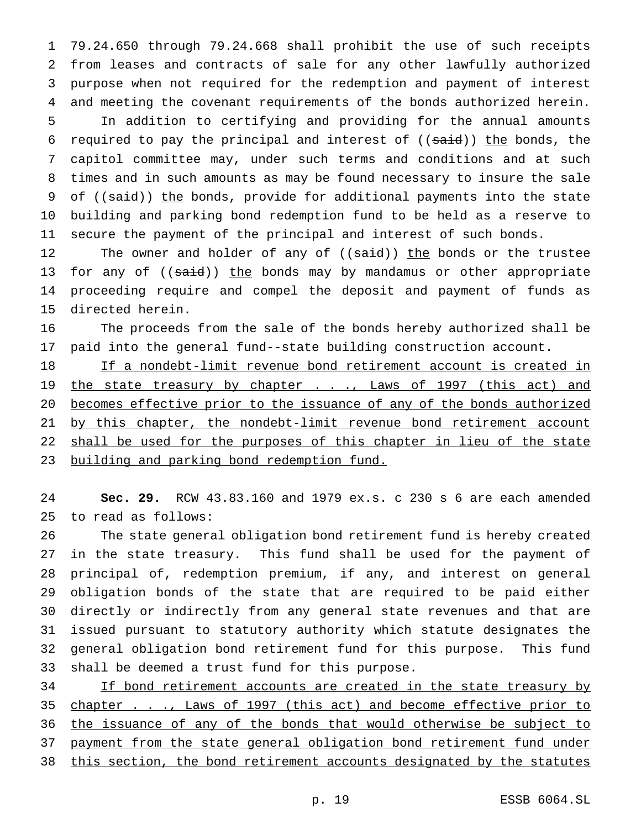79.24.650 through 79.24.668 shall prohibit the use of such receipts from leases and contracts of sale for any other lawfully authorized purpose when not required for the redemption and payment of interest and meeting the covenant requirements of the bonds authorized herein. In addition to certifying and providing for the annual amounts 6 required to pay the principal and interest of  $((\text{said}))$  the bonds, the capitol committee may, under such terms and conditions and at such times and in such amounts as may be found necessary to insure the sale 9 of ((said)) the bonds, provide for additional payments into the state building and parking bond redemption fund to be held as a reserve to secure the payment of the principal and interest of such bonds.

12 The owner and holder of any of ((said)) the bonds or the trustee 13 for any of  $((\text{said}))$  the bonds may by mandamus or other appropriate proceeding require and compel the deposit and payment of funds as directed herein.

 The proceeds from the sale of the bonds hereby authorized shall be paid into the general fund--state building construction account.

 If a nondebt-limit revenue bond retirement account is created in 19 the state treasury by chapter . . ., Laws of 1997 (this act) and becomes effective prior to the issuance of any of the bonds authorized 21 by this chapter, the nondebt-limit revenue bond retirement account 22 shall be used for the purposes of this chapter in lieu of the state 23 building and parking bond redemption fund.

 **Sec. 29.** RCW 43.83.160 and 1979 ex.s. c 230 s 6 are each amended to read as follows:

 The state general obligation bond retirement fund is hereby created in the state treasury. This fund shall be used for the payment of principal of, redemption premium, if any, and interest on general obligation bonds of the state that are required to be paid either directly or indirectly from any general state revenues and that are issued pursuant to statutory authority which statute designates the general obligation bond retirement fund for this purpose. This fund shall be deemed a trust fund for this purpose.

 If bond retirement accounts are created in the state treasury by 35 chapter . . ., Laws of 1997 (this act) and become effective prior to 36 the issuance of any of the bonds that would otherwise be subject to payment from the state general obligation bond retirement fund under 38 this section, the bond retirement accounts designated by the statutes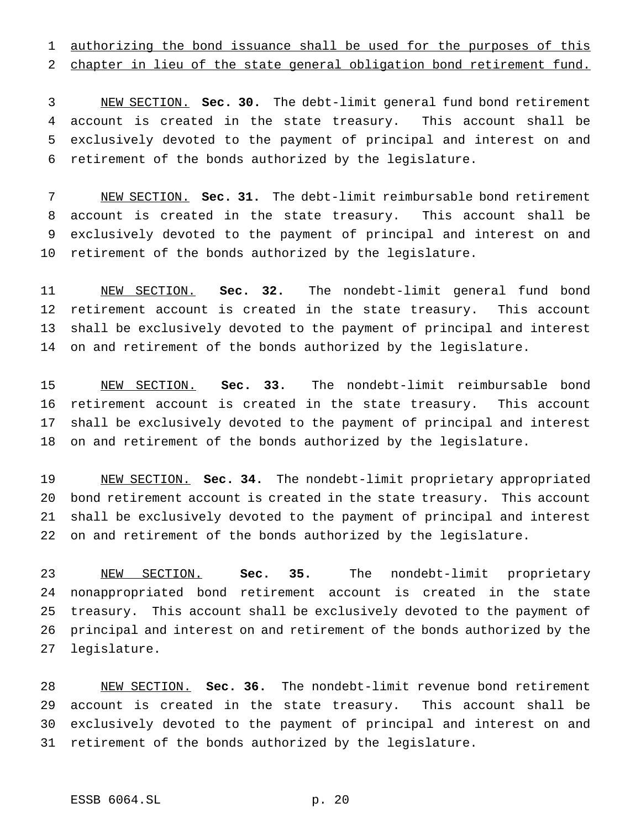authorizing the bond issuance shall be used for the purposes of this

chapter in lieu of the state general obligation bond retirement fund.

 NEW SECTION. **Sec. 30.** The debt-limit general fund bond retirement account is created in the state treasury. This account shall be exclusively devoted to the payment of principal and interest on and retirement of the bonds authorized by the legislature.

 NEW SECTION. **Sec. 31.** The debt-limit reimbursable bond retirement account is created in the state treasury. This account shall be exclusively devoted to the payment of principal and interest on and retirement of the bonds authorized by the legislature.

 NEW SECTION. **Sec. 32.** The nondebt-limit general fund bond retirement account is created in the state treasury. This account shall be exclusively devoted to the payment of principal and interest on and retirement of the bonds authorized by the legislature.

 NEW SECTION. **Sec. 33.** The nondebt-limit reimbursable bond retirement account is created in the state treasury. This account shall be exclusively devoted to the payment of principal and interest on and retirement of the bonds authorized by the legislature.

 NEW SECTION. **Sec. 34.** The nondebt-limit proprietary appropriated bond retirement account is created in the state treasury. This account shall be exclusively devoted to the payment of principal and interest on and retirement of the bonds authorized by the legislature.

 NEW SECTION. **Sec. 35.** The nondebt-limit proprietary nonappropriated bond retirement account is created in the state treasury. This account shall be exclusively devoted to the payment of principal and interest on and retirement of the bonds authorized by the legislature.

 NEW SECTION. **Sec. 36.** The nondebt-limit revenue bond retirement account is created in the state treasury. This account shall be exclusively devoted to the payment of principal and interest on and retirement of the bonds authorized by the legislature.

# ESSB 6064.SL p. 20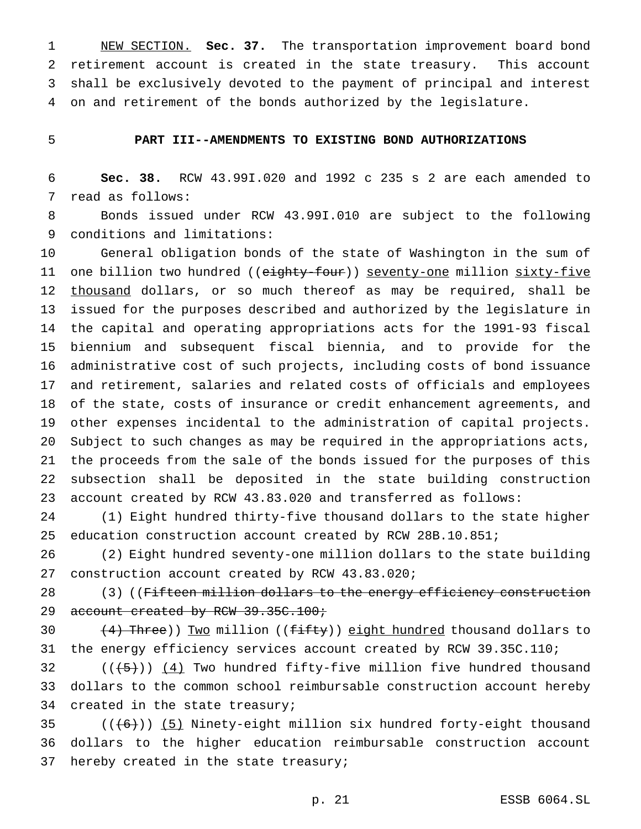NEW SECTION. **Sec. 37.** The transportation improvement board bond retirement account is created in the state treasury. This account shall be exclusively devoted to the payment of principal and interest on and retirement of the bonds authorized by the legislature.

## **PART III--AMENDMENTS TO EXISTING BOND AUTHORIZATIONS**

 **Sec. 38.** RCW 43.99I.020 and 1992 c 235 s 2 are each amended to read as follows:

 Bonds issued under RCW 43.99I.010 are subject to the following conditions and limitations:

 General obligation bonds of the state of Washington in the sum of 11 one billion two hundred ((eighty-four)) seventy-one million sixty-five 12 thousand dollars, or so much thereof as may be required, shall be issued for the purposes described and authorized by the legislature in the capital and operating appropriations acts for the 1991-93 fiscal biennium and subsequent fiscal biennia, and to provide for the administrative cost of such projects, including costs of bond issuance and retirement, salaries and related costs of officials and employees of the state, costs of insurance or credit enhancement agreements, and other expenses incidental to the administration of capital projects. Subject to such changes as may be required in the appropriations acts, the proceeds from the sale of the bonds issued for the purposes of this subsection shall be deposited in the state building construction account created by RCW 43.83.020 and transferred as follows:

 (1) Eight hundred thirty-five thousand dollars to the state higher education construction account created by RCW 28B.10.851;

 (2) Eight hundred seventy-one million dollars to the state building construction account created by RCW 43.83.020;

28 (3) ((Fifteen million dollars to the energy efficiency construction 29 account created by RCW 39.35C.100;

 $(4)$  Three)) Two million (( $f$ ifty)) eight hundred thousand dollars to the energy efficiency services account created by RCW 39.35C.110;

32  $((+5))$   $(4)$  Two hundred fifty-five million five hundred thousand dollars to the common school reimbursable construction account hereby created in the state treasury;

35  $((+6))$  (5) Ninety-eight million six hundred forty-eight thousand dollars to the higher education reimbursable construction account 37 hereby created in the state treasury;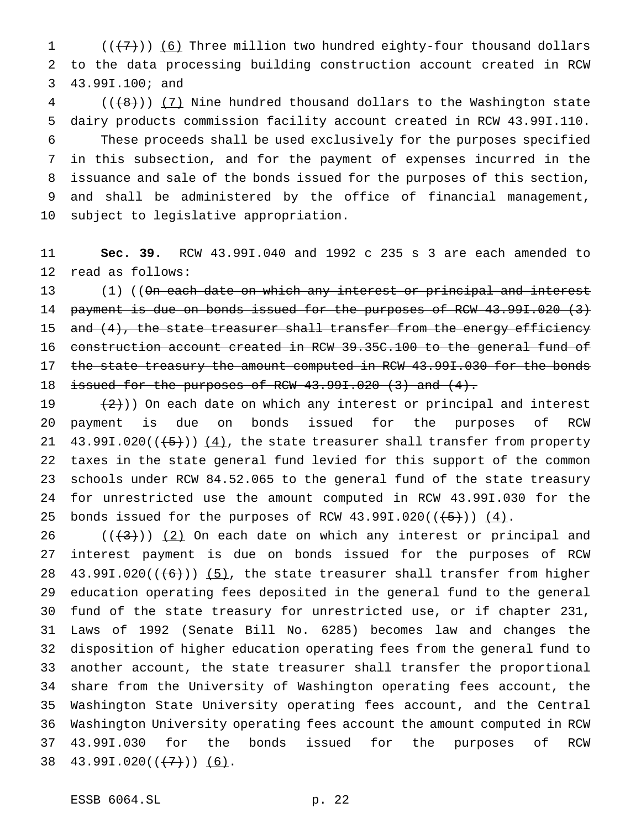1  $((+7))$  (6) Three million two hundred eighty-four thousand dollars to the data processing building construction account created in RCW 43.99I.100; and

 (( $\left(\frac{48}{1}\right)$ ) (7) Nine hundred thousand dollars to the Washington state dairy products commission facility account created in RCW 43.99I.110. These proceeds shall be used exclusively for the purposes specified in this subsection, and for the payment of expenses incurred in the issuance and sale of the bonds issued for the purposes of this section, and shall be administered by the office of financial management, subject to legislative appropriation.

 **Sec. 39.** RCW 43.99I.040 and 1992 c 235 s 3 are each amended to read as follows:

13 (1) ((On each date on which any interest or principal and interest payment is due on bonds issued for the purposes of RCW 43.99I.020 (3) 15 and (4), the state treasurer shall transfer from the energy efficiency construction account created in RCW 39.35C.100 to the general fund of 17 the state treasury the amount computed in RCW 43.991.030 for the bonds 18 issued for the purposes of RCW 43.991.020 (3) and (4).

 $(2)$ )) On each date on which any interest or principal and interest payment is due on bonds issued for the purposes of RCW  $43.991.020((+5))$   $(4)$ , the state treasurer shall transfer from property taxes in the state general fund levied for this support of the common schools under RCW 84.52.065 to the general fund of the state treasury for unrestricted use the amount computed in RCW 43.99I.030 for the 25 bonds issued for the purposes of RCW  $43.991.020((\overline{5})) (4)$ .

 $((+3))$   $(2)$  On each date on which any interest or principal and interest payment is due on bonds issued for the purposes of RCW 28 43.99I.020( $(\frac{6}{1})$ )  $\frac{5}{1}$ , the state treasurer shall transfer from higher education operating fees deposited in the general fund to the general fund of the state treasury for unrestricted use, or if chapter 231, Laws of 1992 (Senate Bill No. 6285) becomes law and changes the disposition of higher education operating fees from the general fund to another account, the state treasurer shall transfer the proportional share from the University of Washington operating fees account, the Washington State University operating fees account, and the Central Washington University operating fees account the amount computed in RCW 43.99I.030 for the bonds issued for the purposes of RCW  $43.991.020((\leftarrow{7}))(6)$ .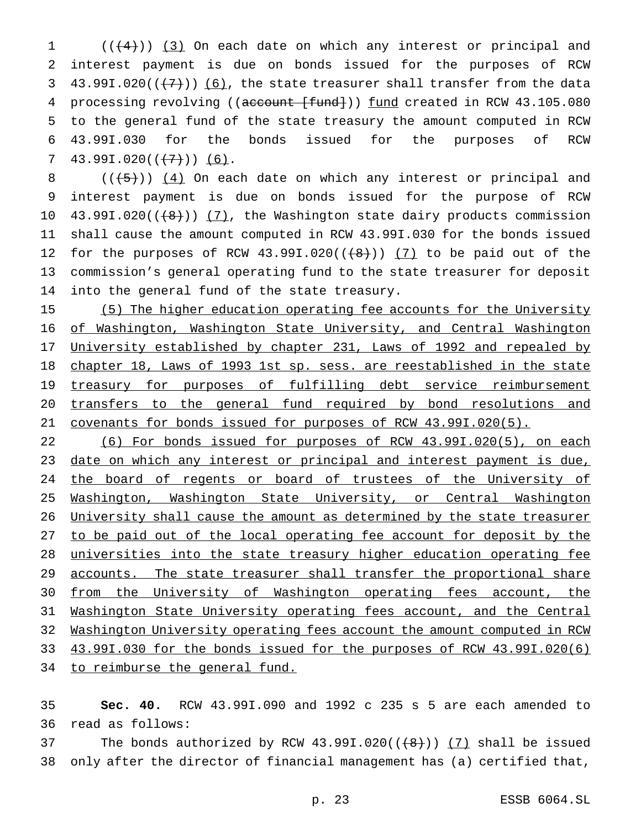$1$   $((+4))$   $(3)$  On each date on which any interest or principal and 2 interest payment is due on bonds issued for the purposes of RCW 3 43.99I.020( $(\frac{7}{7})$ ) (6), the state treasurer shall transfer from the data 4 processing revolving ((account [fund])) fund created in RCW 43.105.080 5 to the general fund of the state treasury the amount computed in RCW 6 43.99I.030 for the bonds issued for the purposes of RCW 7 43.99I.020( $(\frac{7}{7})$ ) (6).

 $((\leftarrow, 5))$   $(4)$  On each date on which any interest or principal and interest payment is due on bonds issued for the purpose of RCW 10 43.99I.020( $(\frac{48}{})$ ) (7), the Washington state dairy products commission shall cause the amount computed in RCW 43.99I.030 for the bonds issued 12 for the purposes of RCW  $43.991.020((\leftarrow{8})) (7)$  to be paid out of the commission's general operating fund to the state treasurer for deposit into the general fund of the state treasury.

15 (5) The higher education operating fee accounts for the University 16 of Washington, Washington State University, and Central Washington 17 University established by chapter 231, Laws of 1992 and repealed by 18 chapter 18, Laws of 1993 1st sp. sess. are reestablished in the state 19 treasury for purposes of fulfilling debt service reimbursement 20 transfers to the general fund required by bond resolutions and 21 covenants for bonds issued for purposes of RCW 43.99I.020(5).

 (6) For bonds issued for purposes of RCW 43.99I.020(5), on each 23 date on which any interest or principal and interest payment is due, 24 the board of regents or board of trustees of the University of Washington, Washington State University, or Central Washington 26 University shall cause the amount as determined by the state treasurer to be paid out of the local operating fee account for deposit by the universities into the state treasury higher education operating fee 29 accounts. The state treasurer shall transfer the proportional share from the University of Washington operating fees account, the Washington State University operating fees account, and the Central Washington University operating fees account the amount computed in RCW 43.99I.030 for the bonds issued for the purposes of RCW 43.99I.020(6) 34 to reimburse the general fund.

35 **Sec. 40.** RCW 43.99I.090 and 1992 c 235 s 5 are each amended to 36 read as follows:

37 The bonds authorized by RCW  $43.991.020((\leftarrow{8})$ ) (7) shall be issued 38 only after the director of financial management has (a) certified that,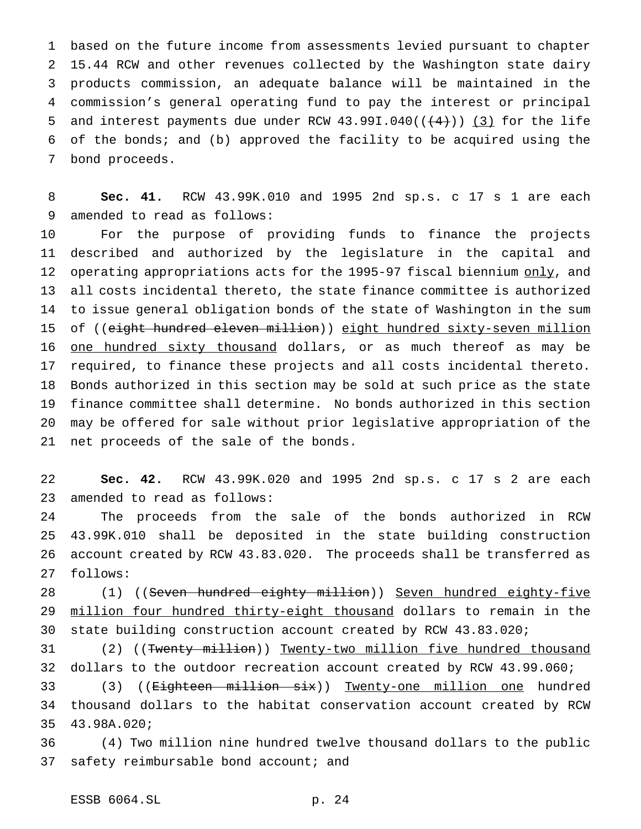based on the future income from assessments levied pursuant to chapter 15.44 RCW and other revenues collected by the Washington state dairy products commission, an adequate balance will be maintained in the commission's general operating fund to pay the interest or principal 5 and interest payments due under RCW  $43.991.040$  ( $(44)$ )) (3) for the life of the bonds; and (b) approved the facility to be acquired using the bond proceeds.

 **Sec. 41.** RCW 43.99K.010 and 1995 2nd sp.s. c 17 s 1 are each amended to read as follows:

 For the purpose of providing funds to finance the projects described and authorized by the legislature in the capital and 12 operating appropriations acts for the 1995-97 fiscal biennium only, and all costs incidental thereto, the state finance committee is authorized to issue general obligation bonds of the state of Washington in the sum 15 of ((eight hundred eleven million)) eight hundred sixty-seven million 16 one hundred sixty thousand dollars, or as much thereof as may be required, to finance these projects and all costs incidental thereto. Bonds authorized in this section may be sold at such price as the state finance committee shall determine. No bonds authorized in this section may be offered for sale without prior legislative appropriation of the net proceeds of the sale of the bonds.

 **Sec. 42.** RCW 43.99K.020 and 1995 2nd sp.s. c 17 s 2 are each amended to read as follows:

 The proceeds from the sale of the bonds authorized in RCW 43.99K.010 shall be deposited in the state building construction account created by RCW 43.83.020. The proceeds shall be transferred as follows:

28 (1) ((Seven hundred eighty million)) Seven hundred eighty-five 29 million four hundred thirty-eight thousand dollars to remain in the state building construction account created by RCW 43.83.020;

31 (2) ((Twenty million)) Twenty-two million five hundred thousand dollars to the outdoor recreation account created by RCW 43.99.060;

 (3) ((Eighteen million six)) Twenty-one million one hundred thousand dollars to the habitat conservation account created by RCW 43.98A.020;

 (4) Two million nine hundred twelve thousand dollars to the public 37 safety reimbursable bond account; and